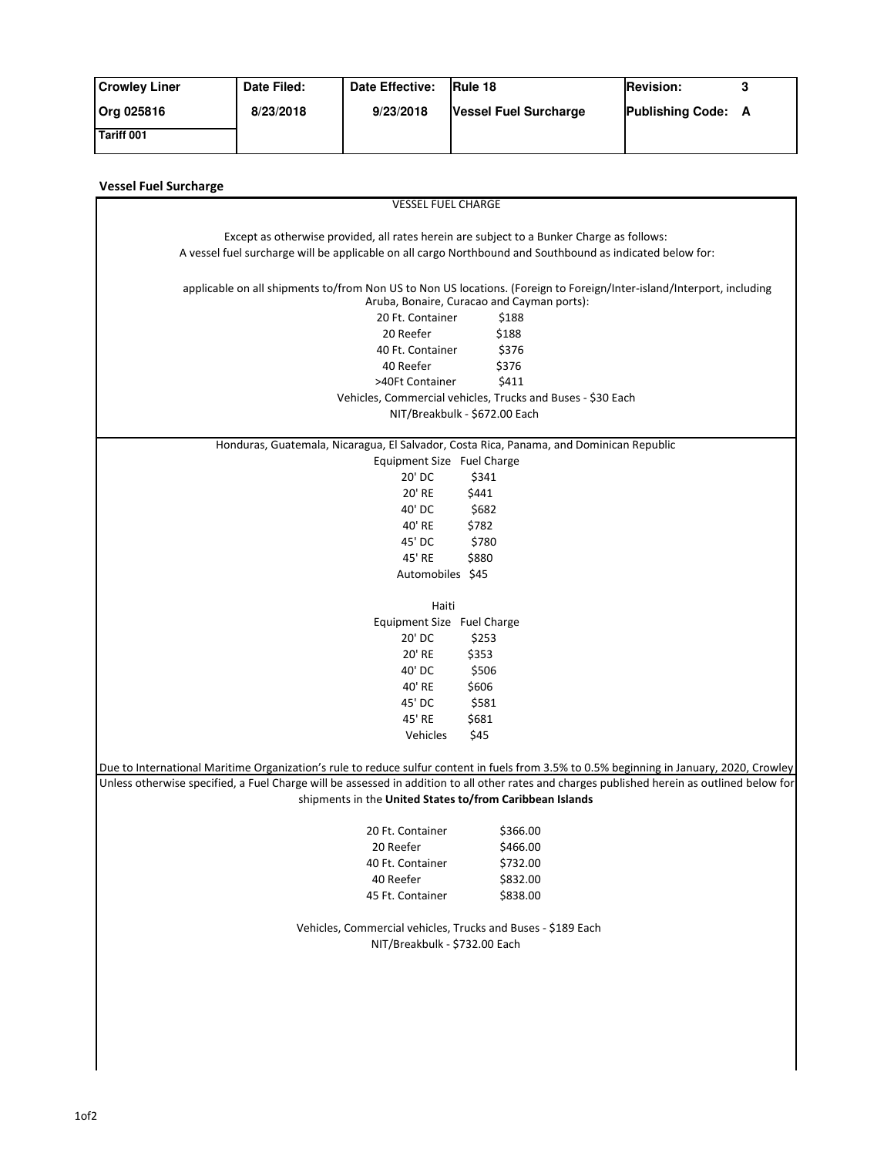| <b>Crowley Liner</b> | Date Filed: | <b>Date Effective:</b> | <b>IRule 18</b>              | <b>Revision:</b>   |  |
|----------------------|-------------|------------------------|------------------------------|--------------------|--|
| Org 025816           | 8/23/2018   | 9/23/2018              | <b>Vessel Fuel Surcharge</b> | Publishing Code: A |  |
| Tariff 001           |             |                        |                              |                    |  |

| <b>Vessel Fuel Surcharge</b>                                                                                                                                        |  |  |  |  |  |  |
|---------------------------------------------------------------------------------------------------------------------------------------------------------------------|--|--|--|--|--|--|
| <b>VESSEL FUEL CHARGE</b>                                                                                                                                           |  |  |  |  |  |  |
|                                                                                                                                                                     |  |  |  |  |  |  |
| Except as otherwise provided, all rates herein are subject to a Bunker Charge as follows:                                                                           |  |  |  |  |  |  |
| A vessel fuel surcharge will be applicable on all cargo Northbound and Southbound as indicated below for:                                                           |  |  |  |  |  |  |
|                                                                                                                                                                     |  |  |  |  |  |  |
| applicable on all shipments to/from Non US to Non US locations. (Foreign to Foreign/Inter-island/Interport, including<br>Aruba, Bonaire, Curacao and Cayman ports): |  |  |  |  |  |  |
| 20 Ft. Container<br>\$188                                                                                                                                           |  |  |  |  |  |  |
| 20 Reefer<br>\$188                                                                                                                                                  |  |  |  |  |  |  |
| \$376<br>40 Ft. Container                                                                                                                                           |  |  |  |  |  |  |
| 40 Reefer<br>\$376                                                                                                                                                  |  |  |  |  |  |  |
| >40Ft Container<br>\$411                                                                                                                                            |  |  |  |  |  |  |
| Vehicles, Commercial vehicles, Trucks and Buses - \$30 Each                                                                                                         |  |  |  |  |  |  |
| NIT/Breakbulk - \$672.00 Each                                                                                                                                       |  |  |  |  |  |  |
|                                                                                                                                                                     |  |  |  |  |  |  |
| Honduras, Guatemala, Nicaragua, El Salvador, Costa Rica, Panama, and Dominican Republic                                                                             |  |  |  |  |  |  |
| Equipment Size Fuel Charge                                                                                                                                          |  |  |  |  |  |  |
| 20' DC<br>\$341                                                                                                                                                     |  |  |  |  |  |  |
| 20' RE<br>\$441                                                                                                                                                     |  |  |  |  |  |  |
| 40' DC<br>\$682                                                                                                                                                     |  |  |  |  |  |  |
| 40' RE<br>\$782                                                                                                                                                     |  |  |  |  |  |  |
| 45' DC<br>\$780                                                                                                                                                     |  |  |  |  |  |  |
| 45' RE<br>\$880                                                                                                                                                     |  |  |  |  |  |  |
| Automobiles \$45                                                                                                                                                    |  |  |  |  |  |  |
|                                                                                                                                                                     |  |  |  |  |  |  |
| Haiti                                                                                                                                                               |  |  |  |  |  |  |
| Equipment Size Fuel Charge                                                                                                                                          |  |  |  |  |  |  |
| 20' DC<br>\$253                                                                                                                                                     |  |  |  |  |  |  |
| 20' RE<br>\$353                                                                                                                                                     |  |  |  |  |  |  |
| 40' DC<br>\$506                                                                                                                                                     |  |  |  |  |  |  |
| 40' RE<br>\$606                                                                                                                                                     |  |  |  |  |  |  |
| 45' DC<br>\$581                                                                                                                                                     |  |  |  |  |  |  |
| 45' RE<br>\$681                                                                                                                                                     |  |  |  |  |  |  |
| \$45<br>Vehicles                                                                                                                                                    |  |  |  |  |  |  |
|                                                                                                                                                                     |  |  |  |  |  |  |
| Due to International Maritime Organization's rule to reduce sulfur content in fuels from 3.5% to 0.5% beginning in January, 2020, Crowley                           |  |  |  |  |  |  |
| Unless otherwise specified, a Fuel Charge will be assessed in addition to all other rates and charges published herein as outlined below for                        |  |  |  |  |  |  |
| shipments in the United States to/from Caribbean Islands                                                                                                            |  |  |  |  |  |  |
|                                                                                                                                                                     |  |  |  |  |  |  |
| \$366.00<br>20 Ft. Container                                                                                                                                        |  |  |  |  |  |  |
| 20 Reefer<br>\$466.00                                                                                                                                               |  |  |  |  |  |  |
| 40 Ft. Container<br>\$732.00                                                                                                                                        |  |  |  |  |  |  |
| 40 Reefer<br>\$832.00                                                                                                                                               |  |  |  |  |  |  |
| 45 Ft. Container<br>\$838.00                                                                                                                                        |  |  |  |  |  |  |
|                                                                                                                                                                     |  |  |  |  |  |  |
| Vehicles, Commercial vehicles, Trucks and Buses - \$189 Each                                                                                                        |  |  |  |  |  |  |
| NIT/Breakbulk - \$732.00 Each                                                                                                                                       |  |  |  |  |  |  |
|                                                                                                                                                                     |  |  |  |  |  |  |
|                                                                                                                                                                     |  |  |  |  |  |  |
|                                                                                                                                                                     |  |  |  |  |  |  |
|                                                                                                                                                                     |  |  |  |  |  |  |
|                                                                                                                                                                     |  |  |  |  |  |  |
|                                                                                                                                                                     |  |  |  |  |  |  |

I